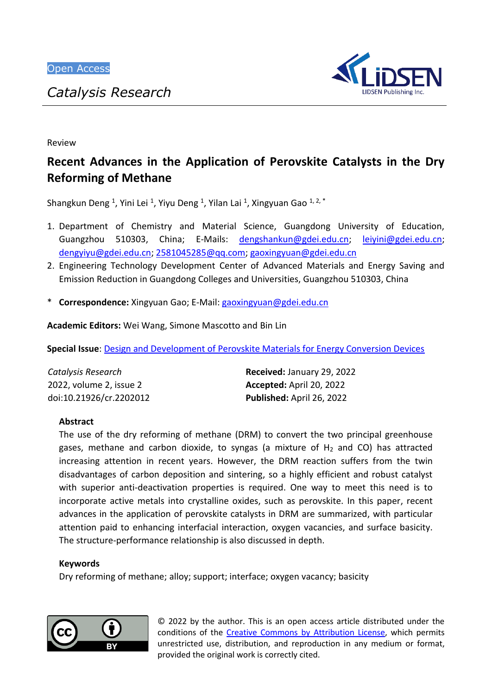

Review

# **Recent Advances in the Application of Perovskite Catalysts in the Dry Reforming of Methane**

Shangkun Deng <sup>1</sup>, Yini Lei <sup>1</sup>, Yiyu Deng <sup>1</sup>, Yilan Lai <sup>1</sup>, Xingyuan Gao <sup>1, 2, \*</sup>

- 1. Department of Chemistry and Material Science, Guangdong University of Education, Guangzhou 510303, China; E-Mails: [dengshankun@gdei.edu.cn;](mailto:dengshankun@gdei.edu.cn) [leiyini@gdei.edu.cn;](mailto:leiyini@gdei.edu.cn) [dengyiyu@gdei.edu.cn;](mailto:dengyiyu@gdei.edu.cn) [2581045285@qq.com;](mailto:2581045285@qq.com) [gaoxingyuan@gdei.edu.cn](mailto:gaoxingyuan@gdei.edu.cn)
- 2. Engineering Technology Development Center of Advanced Materials and Energy Saving and Emission Reduction in Guangdong Colleges and Universities, Guangzhou 510303, China
- \* **Correspondence:** Xingyuan Gao; E-Mail: [gaoxingyuan@gdei.edu.cn](mailto:gaoxingyuan@gdei.edu.cn)

**Academic Editors:** Wei Wang, Simone Mascotto and Bin Lin

**Special Issue**: [Design and Development of Perovskite Materials for Energy Conversion Devices](http://www.lidsen.com/journals/cr/cr-special-issues/Perovskite-Material-Energ)

| Catalysis Research      | <b>Received: January 29, 2022</b> |
|-------------------------|-----------------------------------|
| 2022, volume 2, issue 2 | Accepted: April 20, 2022          |
| doi:10.21926/cr.2202012 | Published: April 26, 2022         |

# **Abstract**

The use of the dry reforming of methane (DRM) to convert the two principal greenhouse gases, methane and carbon dioxide, to syngas (a mixture of  $H_2$  and CO) has attracted increasing attention in recent years. However, the DRM reaction suffers from the twin disadvantages of carbon deposition and sintering, so a highly efficient and robust catalyst with superior anti-deactivation properties is required. One way to meet this need is to incorporate active metals into crystalline oxides, such as perovskite. In this paper, recent advances in the application of perovskite catalysts in DRM are summarized, with particular attention paid to enhancing interfacial interaction, oxygen vacancies, and surface basicity. The structure-performance relationship is also discussed in depth.

# **Keywords**

Dry reforming of methane; alloy; support; interface; oxygen vacancy; basicity



© 2022 by the author. This is an open access article distributed under the conditions of the [Creative Commons by Attribution License,](http://creativecommons.org/licenses/by/4.0/) which permits unrestricted use, distribution, and reproduction in any medium or format, provided the original work is correctly cited.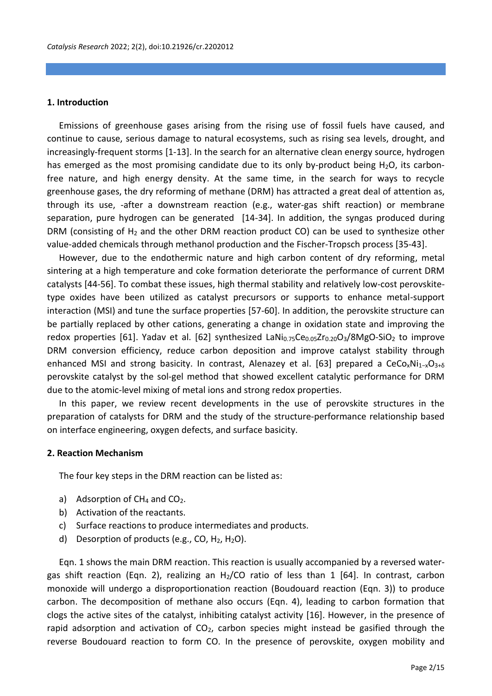#### **1. Introduction**

Emissions of greenhouse gases arising from the rising use of fossil fuels have caused, and continue to cause, serious damage to natural ecosystems, such as rising sea levels, drought, and increasingly-frequent storms [1-13]. In the search for an alternative clean energy source, hydrogen has emerged as the most promising candidate due to its only by-product being H<sub>2</sub>O, its carbonfree nature, and high energy density. At the same time, in the search for ways to recycle greenhouse gases, the dry reforming of methane (DRM) has attracted a great deal of attention as, through its use, -after a downstream reaction (e.g., water-gas shift reaction) or membrane separation, pure hydrogen can be generated [14-34]. In addition, the syngas produced during DRM (consisting of  $H_2$  and the other DRM reaction product CO) can be used to synthesize other value-added chemicals through methanol production and the Fischer-Tropsch process [35-43].

However, due to the endothermic nature and high carbon content of dry reforming, metal sintering at a high temperature and coke formation deteriorate the performance of current DRM catalysts [44-56]. To combat these issues, high thermal stability and relatively low-cost perovskitetype oxides have been utilized as catalyst precursors or supports to enhance metal-support interaction (MSI) and tune the surface properties [57-60]. In addition, the perovskite structure can be partially replaced by other cations, generating a change in oxidation state and improving the redox properties [61]. Yadav et al. [62] synthesized LaNi $_{0.75}$ Ce $_{0.05}Zr_{0.20}O_3/8MgO-SiO_2$  to improve DRM conversion efficiency, reduce carbon deposition and improve catalyst stability through enhanced MSI and strong basicity. In contrast, Alenazey et al. [63] prepared a CeCo<sub>x</sub>Ni<sub>1-x</sub>O<sub>3+6</sub> perovskite catalyst by the sol-gel method that showed excellent catalytic performance for DRM due to the atomic-level mixing of metal ions and strong redox properties.

In this paper, we review recent developments in the use of perovskite structures in the preparation of catalysts for DRM and the study of the structure-performance relationship based on interface engineering, oxygen defects, and surface basicity.

#### **2. Reaction Mechanism**

The four key steps in the DRM reaction can be listed as:

- a) Adsorption of  $CH_4$  and  $CO_2$ .
- b) Activation of the reactants.
- c) Surface reactions to produce intermediates and products.
- d) Desorption of products (e.g., CO,  $H_2$ ,  $H_2O$ ).

Eqn. 1 shows the main DRM reaction. This reaction is usually accompanied by a reversed watergas shift reaction (Eqn. 2), realizing an H<sub>2</sub>/CO ratio of less than 1 [64]. In contrast, carbon monoxide will undergo a disproportionation reaction (Boudouard reaction (Eqn. 3)) to produce carbon. The decomposition of methane also occurs (Eqn. 4), leading to carbon formation that clogs the active sites of the catalyst, inhibiting catalyst activity [16]. However, in the presence of rapid adsorption and activation of  $CO<sub>2</sub>$ , carbon species might instead be gasified through the reverse Boudouard reaction to form CO. In the presence of perovskite, oxygen mobility and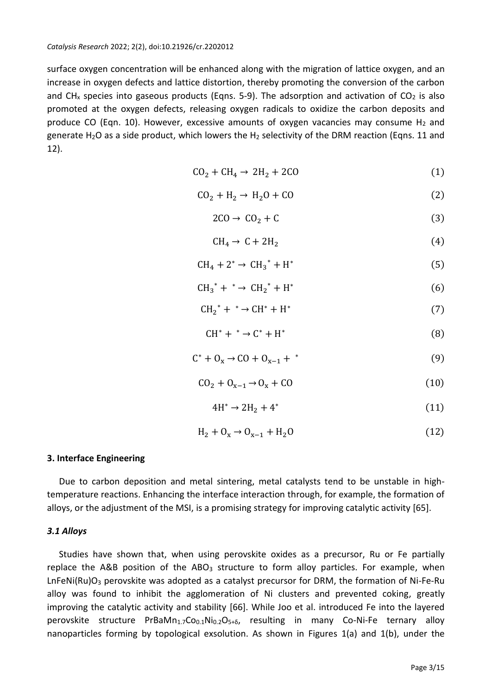surface oxygen concentration will be enhanced along with the migration of lattice oxygen, and an increase in oxygen defects and lattice distortion, thereby promoting the conversion of the carbon and CH<sub>x</sub> species into gaseous products (Eqns. 5-9). The adsorption and activation of CO<sub>2</sub> is also promoted at the oxygen defects, releasing oxygen radicals to oxidize the carbon deposits and produce CO (Eqn. 10). However, excessive amounts of oxygen vacancies may consume  $H_2$  and generate H<sub>2</sub>O as a side product, which lowers the H<sub>2</sub> selectivity of the DRM reaction (Eqns. 11 and 12).

$$
CO2 + CH4 \rightarrow 2H2 + 2CO
$$
 (1)

$$
CO2 + H2 \rightarrow H2O + CO
$$
 (2)

$$
2CO \to CO_2 + C \tag{3}
$$

$$
CH_4 \to C + 2H_2 \tag{4}
$$

$$
CH_4 + 2^* \rightarrow CH_3^* + H^* \tag{5}
$$

$$
CH_3^* + ^* \to CH_2^* + H^* \tag{6}
$$

$$
CH_2^* + ^* \to CH^* + H^* \tag{7}
$$

$$
CH^* + ^* \rightarrow C^* + H^* \tag{8}
$$

$$
C^* + O_x \to CO + O_{x-1} + * \tag{9}
$$

$$
CO_2 + O_{x-1} \to O_x + CO \tag{10}
$$

$$
4H^* \to 2H_2 + 4^* \tag{11}
$$

$$
H_2 + O_x \to O_{x-1} + H_2O \tag{12}
$$

## **3. Interface Engineering**

Due to carbon deposition and metal sintering, metal catalysts tend to be unstable in hightemperature reactions. Enhancing the interface interaction through, for example, the formation of alloys, or the adjustment of the MSI, is a promising strategy for improving catalytic activity [65].

#### *3.1 Alloys*

Studies have shown that, when using perovskite oxides as a precursor, Ru or Fe partially replace the A&B position of the ABO $_3$  structure to form alloy particles. For example, when LnFeNi(Ru) $O_3$  perovskite was adopted as a catalyst precursor for DRM, the formation of Ni-Fe-Ru alloy was found to inhibit the agglomeration of Ni clusters and prevented coking, greatly improving the catalytic activity and stability [66]. While Joo et al. introduced Fe into the layered perovskite structure PrBaMn<sub>1.7</sub>Co<sub>0.1</sub>Ni<sub>0.2</sub>O<sub>5+6</sub>, resulting in many Co-Ni-Fe ternary alloy nanoparticles forming by topological exsolution. As shown in Figures 1(a) and 1(b), under the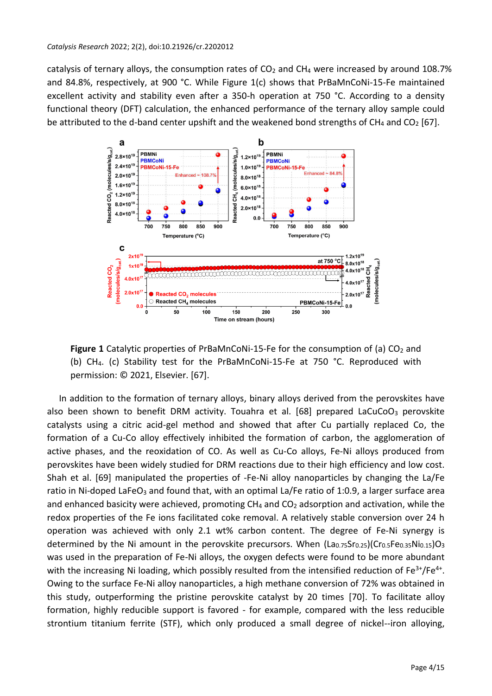catalysis of ternary alloys, the consumption rates of  $CO<sub>2</sub>$  and CH<sub>4</sub> were increased by around 108.7% and 84.8%, respectively, at 900 °C. While Figure 1(c) shows that PrBaMnCoNi-15-Fe maintained excellent activity and stability even after a 350-h operation at 750 °C. According to a density functional theory (DFT) calculation, the enhanced performance of the ternary alloy sample could be attributed to the d-band center upshift and the weakened bond strengths of  $CH_4$  and  $CO_2$  [67].



**Figure 1** Catalytic properties of PrBaMnCoNi-15-Fe for the consumption of (a)  $CO<sub>2</sub>$  and (b) CH4. (c) Stability test for the PrBaMnCoNi-15-Fe at 750 °C. Reproduced with permission: © 2021, Elsevier. [67].

In addition to the formation of ternary alloys, binary alloys derived from the perovskites have also been shown to benefit DRM activity. Touahra et al. [68] prepared LaCuCoO<sub>3</sub> perovskite catalysts using a citric acid-gel method and showed that after Cu partially replaced Co, the formation of a Cu-Co alloy effectively inhibited the formation of carbon, the agglomeration of active phases, and the reoxidation of CO. As well as Cu-Co alloys, Fe-Ni alloys produced from perovskites have been widely studied for DRM reactions due to their high efficiency and low cost. Shah et al. [69] manipulated the properties of -Fe-Ni alloy nanoparticles by changing the La/Fe ratio in Ni-doped LaFeO<sub>3</sub> and found that, with an optimal La/Fe ratio of 1:0.9, a larger surface area and enhanced basicity were achieved, promoting  $CH_4$  and  $CO_2$  adsorption and activation, while the redox properties of the Fe ions facilitated coke removal. A relatively stable conversion over 24 h operation was achieved with only 2.1 wt% carbon content. The degree of Fe-Ni synergy is determined by the Ni amount in the perovskite precursors. When (La0.75Sr0.25)(Cr0.5Fe0.35Ni0.15)O3 was used in the preparation of Fe-Ni alloys, the oxygen defects were found to be more abundant with the increasing Ni loading, which possibly resulted from the intensified reduction of Fe<sup>3+</sup>/Fe<sup>4+</sup>. Owing to the surface Fe-Ni alloy nanoparticles, a high methane conversion of 72% was obtained in this study, outperforming the pristine perovskite catalyst by 20 times [70]. To facilitate alloy formation, highly reducible support is favored - for example, compared with the less reducible strontium titanium ferrite (STF), which only produced a small degree of nickel--iron alloying,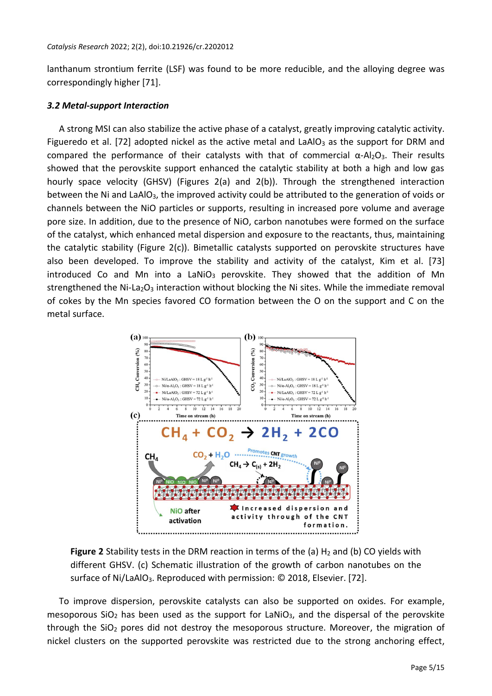lanthanum strontium ferrite (LSF) was found to be more reducible, and the alloying degree was correspondingly higher [71].

#### *3.2 Metal-support Interaction*

A strong MSI can also stabilize the active phase of a catalyst, greatly improving catalytic activity. Figueredo et al. [72] adopted nickel as the active metal and LaAlO<sub>3</sub> as the support for DRM and compared the performance of their catalysts with that of commercial  $\alpha$ -Al<sub>2</sub>O<sub>3</sub>. Their results showed that the perovskite support enhanced the catalytic stability at both a high and low gas hourly space velocity (GHSV) (Figures 2(a) and 2(b)). Through the strengthened interaction between the Ni and LaAlO<sub>3</sub>, the improved activity could be attributed to the generation of voids or channels between the NiO particles or supports, resulting in increased pore volume and average pore size. In addition, due to the presence of NiO, carbon nanotubes were formed on the surface of the catalyst, which enhanced metal dispersion and exposure to the reactants, thus, maintaining the catalytic stability (Figure 2(c)). Bimetallic catalysts supported on perovskite structures have also been developed. To improve the stability and activity of the catalyst, Kim et al. [73] introduced Co and Mn into a LaNiO<sub>3</sub> perovskite. They showed that the addition of Mn strengthened the Ni-La<sub>2</sub>O<sub>3</sub> interaction without blocking the Ni sites. While the immediate removal of cokes by the Mn species favored CO formation between the O on the support and C on the metal surface.



**Figure 2** Stability tests in the DRM reaction in terms of the (a) H<sub>2</sub> and (b) CO yields with different GHSV. (c) Schematic illustration of the growth of carbon nanotubes on the surface of Ni/LaAlO<sub>3</sub>. Reproduced with permission: © 2018, Elsevier. [72].

To improve dispersion, perovskite catalysts can also be supported on oxides. For example, mesoporous SiO<sub>2</sub> has been used as the support for LaNiO<sub>3</sub>, and the dispersal of the perovskite through the  $SiO<sub>2</sub>$  pores did not destroy the mesoporous structure. Moreover, the migration of nickel clusters on the supported perovskite was restricted due to the strong anchoring effect,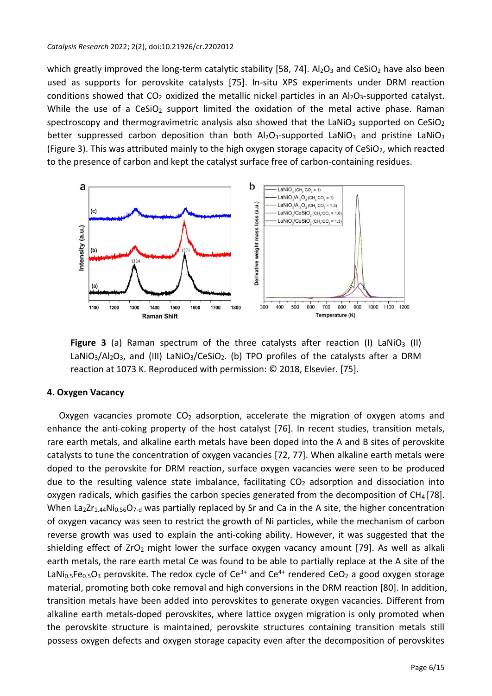which greatly improved the long-term catalytic stability [58, 74].  $Al_2O_3$  and CeSiO<sub>2</sub> have also been used as supports for perovskite catalysts [75]. In-situ XPS experiments under DRM reaction conditions showed that  $CO<sub>2</sub>$  oxidized the metallic nickel particles in an Al<sub>2</sub>O<sub>3</sub>-supported catalyst. While the use of a  $CESiO<sub>2</sub>$  support limited the oxidation of the metal active phase. Raman spectroscopy and thermogravimetric analysis also showed that the LaNiO<sub>3</sub> supported on CeSiO<sub>2</sub> better suppressed carbon deposition than both  $Al_2O_3$ -supported LaNiO<sub>3</sub> and pristine LaNiO<sub>3</sub> (Figure 3). This was attributed mainly to the high oxygen storage capacity of CeSiO<sub>2</sub>, which reacted to the presence of carbon and kept the catalyst surface free of carbon-containing residues.



**Figure 3** (a) Raman spectrum of the three catalysts after reaction (I) LaNiO<sub>3</sub> (II) LaNiO<sub>3</sub>/Al<sub>2</sub>O<sub>3</sub>, and (III) LaNiO<sub>3</sub>/CeSiO<sub>2</sub>. (b) TPO profiles of the catalysts after a DRM reaction at 1073 K. Reproduced with permission: © 2018, Elsevier. [75].

# **4. Oxygen Vacancy**

Oxygen vacancies promote  $CO<sub>2</sub>$  adsorption, accelerate the migration of oxygen atoms and enhance the anti-coking property of the host catalyst [76]. In recent studies, transition metals, rare earth metals, and alkaline earth metals have been doped into the A and B sites of perovskite catalysts to tune the concentration of oxygen vacancies [72, 77]. When alkaline earth metals were doped to the perovskite for DRM reaction, surface oxygen vacancies were seen to be produced due to the resulting valence state imbalance, facilitating  $CO<sub>2</sub>$  adsorption and dissociation into oxygen radicals, which gasifies the carbon species generated from the decomposition of CH<sub>4</sub> [78]. When  $La_2Zr_{1.44}Ni_{0.56}O_{7-d}$  was partially replaced by Sr and Ca in the A site, the higher concentration of oxygen vacancy was seen to restrict the growth of Ni particles, while the mechanism of carbon reverse growth was used to explain the anti-coking ability. However, it was suggested that the shielding effect of  $ZrO<sub>2</sub>$  might lower the surface oxygen vacancy amount [79]. As well as alkali earth metals, the rare earth metal Ce was found to be able to partially replace at the A site of the LaNi<sub>0.5</sub>Fe<sub>0.5</sub>O<sub>3</sub> perovskite. The redox cycle of Ce<sup>3+</sup> and Ce<sup>4+</sup> rendered CeO<sub>2</sub> a good oxygen storage material, promoting both coke removal and high conversions in the DRM reaction [80]. In addition, transition metals have been added into perovskites to generate oxygen vacancies. Different from alkaline earth metals-doped perovskites, where lattice oxygen migration is only promoted when the perovskite structure is maintained, perovskite structures containing transition metals still possess oxygen defects and oxygen storage capacity even after the decomposition of perovskites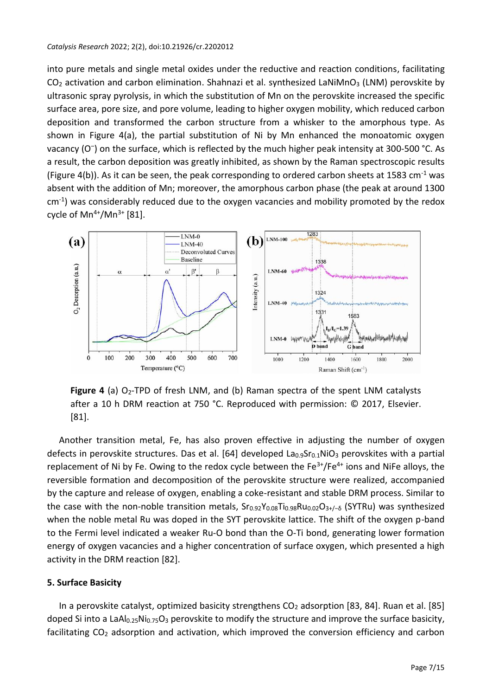into pure metals and single metal oxides under the reductive and reaction conditions, facilitating  $CO<sub>2</sub>$  activation and carbon elimination. Shahnazi et al. synthesized LaNiMnO<sub>3</sub> (LNM) perovskite by ultrasonic spray pyrolysis, in which the substitution of Mn on the perovskite increased the specific surface area, pore size, and pore volume, leading to higher oxygen mobility, which reduced carbon deposition and transformed the carbon structure from a whisker to the amorphous type. As shown in Figure 4(a), the partial substitution of Ni by Mn enhanced the monoatomic oxygen vacancy (O<sup>-</sup>) on the surface, which is reflected by the much higher peak intensity at 300-500 °C. As a result, the carbon deposition was greatly inhibited, as shown by the Raman spectroscopic results (Figure 4(b)). As it can be seen, the peak corresponding to ordered carbon sheets at 1583 cm<sup>-1</sup> was absent with the addition of Mn; moreover, the amorphous carbon phase (the peak at around 1300 cm-1 ) was considerably reduced due to the oxygen vacancies and mobility promoted by the redox cycle of  $Mn^{4+}/Mn^{3+}$  [81].



**Figure 4** (a) O<sub>2</sub>-TPD of fresh LNM, and (b) Raman spectra of the spent LNM catalysts after a 10 h DRM reaction at 750 °C. Reproduced with permission: © 2017, Elsevier. [81].

Another transition metal, Fe, has also proven effective in adjusting the number of oxygen defects in perovskite structures. Das et al. [64] developed  $La<sub>0.9</sub>Sr<sub>0.1</sub>NiO<sub>3</sub>$  perovskites with a partial replacement of Ni by Fe. Owing to the redox cycle between the  $Fe^{3+}/Fe^{4+}$  ions and NiFe alloys, the reversible formation and decomposition of the perovskite structure were realized, accompanied by the capture and release of oxygen, enabling a coke-resistant and stable DRM process. Similar to the case with the non-noble transition metals, Sr<sub>0.92</sub>Y<sub>0.08</sub>Ti<sub>0.98</sub>Ru<sub>0.02</sub>O<sub>3+</sub><sub>/−</sub><sub>6</sub> (SYTRu) was synthesized when the noble metal Ru was doped in the SYT perovskite lattice. The shift of the oxygen p-band to the Fermi level indicated a weaker Ru-O bond than the O-Ti bond, generating lower formation energy of oxygen vacancies and a higher concentration of surface oxygen, which presented a high activity in the DRM reaction [82].

# **5. Surface Basicity**

In a perovskite catalyst, optimized basicity strengthens  $CO<sub>2</sub>$  adsorption [83, 84]. Ruan et al. [85] doped Si into a LaAl<sub>0.25</sub>Ni<sub>0.75</sub>O<sub>3</sub> perovskite to modify the structure and improve the surface basicity, facilitating  $CO<sub>2</sub>$  adsorption and activation, which improved the conversion efficiency and carbon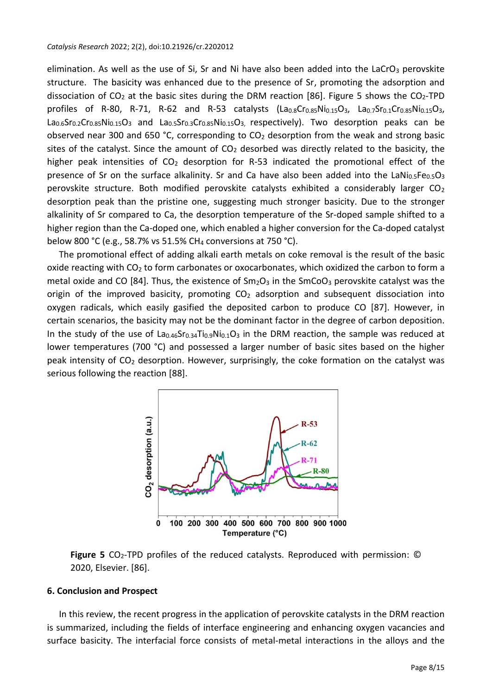elimination. As well as the use of Si, Sr and Ni have also been added into the LaCrO<sub>3</sub> perovskite structure. The basicity was enhanced due to the presence of Sr, promoting the adsorption and dissociation of  $CO<sub>2</sub>$  at the basic sites during the DRM reaction [86]. Figure 5 shows the  $CO<sub>2</sub>-TPD$ profiles of R-80, R-71, R-62 and R-53 catalysts  $(La_{0.8}Cr_{0.85}Ni_{0.15}O_3, La_{0.7}Sr_{0.1}Cr_{0.85}Ni_{0.15}O_3,$  $La<sub>0.6</sub>Sr<sub>0.2</sub>Cr<sub>0.85</sub>Ni<sub>0.15</sub>O<sub>3</sub>$  and  $La<sub>0.5</sub>Sr<sub>0.3</sub>Cr<sub>0.85</sub>Ni<sub>0.15</sub>O<sub>3</sub>$  respectively). Two desorption peaks can be observed near 300 and 650 °C, corresponding to  $CO<sub>2</sub>$  desorption from the weak and strong basic sites of the catalyst. Since the amount of  $CO<sub>2</sub>$  desorbed was directly related to the basicity, the higher peak intensities of  $CO<sub>2</sub>$  desorption for R-53 indicated the promotional effect of the presence of Sr on the surface alkalinity. Sr and Ca have also been added into the LaNi $_{0.5}Fe_{0.5}O_3$ perovskite structure. Both modified perovskite catalysts exhibited a considerably larger  $CO<sub>2</sub>$ desorption peak than the pristine one, suggesting much stronger basicity. Due to the stronger alkalinity of Sr compared to Ca, the desorption temperature of the Sr-doped sample shifted to a higher region than the Ca-doped one, which enabled a higher conversion for the Ca-doped catalyst below 800 °C (e.g., 58.7% vs 51.5% CH<sub>4</sub> conversions at 750 °C).

The promotional effect of adding alkali earth metals on coke removal is the result of the basic oxide reacting with CO<sup>2</sup> to form carbonates or oxocarbonates, which oxidized the carbon to form a metal oxide and CO [84]. Thus, the existence of  $Sm_2O_3$  in the  $SmCO_3$  perovskite catalyst was the origin of the improved basicity, promoting  $CO<sub>2</sub>$  adsorption and subsequent dissociation into oxygen radicals, which easily gasified the deposited carbon to produce CO [87]. However, in certain scenarios, the basicity may not be the dominant factor in the degree of carbon deposition. In the study of the use of  $La_{0.46}Sr_{0.34}Ti_{0.9}Ni_{0.1}O_3$  in the DRM reaction, the sample was reduced at lower temperatures (700 °C) and possessed a larger number of basic sites based on the higher peak intensity of  $CO<sub>2</sub>$  desorption. However, surprisingly, the coke formation on the catalyst was serious following the reaction [88].



**Figure 5** CO<sub>2</sub>-TPD profiles of the reduced catalysts. Reproduced with permission: © 2020, Elsevier. [86].

# **6. Conclusion and Prospect**

In this review, the recent progress in the application of perovskite catalysts in the DRM reaction is summarized, including the fields of interface engineering and enhancing oxygen vacancies and surface basicity. The interfacial force consists of metal-metal interactions in the alloys and the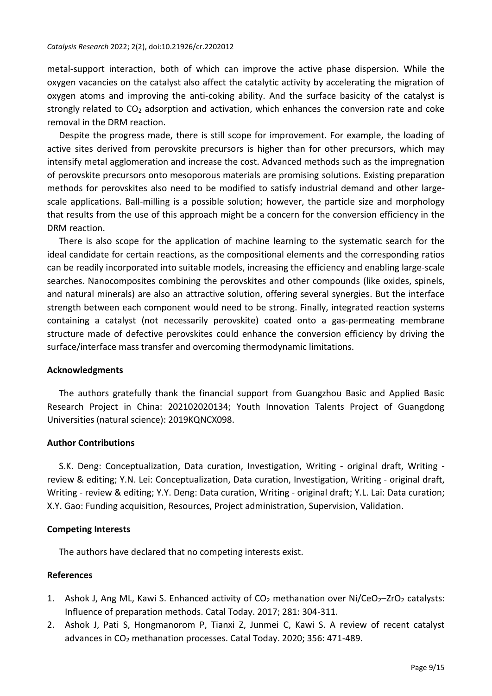metal-support interaction, both of which can improve the active phase dispersion. While the oxygen vacancies on the catalyst also affect the catalytic activity by accelerating the migration of oxygen atoms and improving the anti-coking ability. And the surface basicity of the catalyst is strongly related to  $CO<sub>2</sub>$  adsorption and activation, which enhances the conversion rate and coke removal in the DRM reaction.

Despite the progress made, there is still scope for improvement. For example, the loading of active sites derived from perovskite precursors is higher than for other precursors, which may intensify metal agglomeration and increase the cost. Advanced methods such as the impregnation of perovskite precursors onto mesoporous materials are promising solutions. Existing preparation methods for perovskites also need to be modified to satisfy industrial demand and other largescale applications. Ball-milling is a possible solution; however, the particle size and morphology that results from the use of this approach might be a concern for the conversion efficiency in the DRM reaction.

There is also scope for the application of machine learning to the systematic search for the ideal candidate for certain reactions, as the compositional elements and the corresponding ratios can be readily incorporated into suitable models, increasing the efficiency and enabling large-scale searches. Nanocomposites combining the perovskites and other compounds (like oxides, spinels, and natural minerals) are also an attractive solution, offering several synergies. But the interface strength between each component would need to be strong. Finally, integrated reaction systems containing a catalyst (not necessarily perovskite) coated onto a gas-permeating membrane structure made of defective perovskites could enhance the conversion efficiency by driving the surface/interface mass transfer and overcoming thermodynamic limitations.

### **Acknowledgments**

The authors gratefully thank the financial support from Guangzhou Basic and Applied Basic Research Project in China: 202102020134; Youth Innovation Talents Project of Guangdong Universities (natural science): 2019KQNCX098.

### **Author Contributions**

S.K. Deng: Conceptualization, Data curation, Investigation, Writing - original draft, Writing review & editing; Y.N. Lei: Conceptualization, Data curation, Investigation, Writing - original draft, Writing - review & editing; Y.Y. Deng: Data curation, Writing - original draft; Y.L. Lai: Data curation; X.Y. Gao: Funding acquisition, Resources, Project administration, Supervision, Validation.

### **Competing Interests**

The authors have declared that no competing interests exist.

# **References**

- 1. Ashok J, Ang ML, Kawi S. Enhanced activity of  $CO<sub>2</sub>$  methanation over Ni/CeO<sub>2</sub>-ZrO<sub>2</sub> catalysts: Influence of preparation methods. Catal Today. 2017; 281: 304-311.
- 2. Ashok J, Pati S, Hongmanorom P, Tianxi Z, Junmei C, Kawi S. A review of recent catalyst advances in CO<sup>2</sup> methanation processes. Catal Today. 2020; 356: 471-489.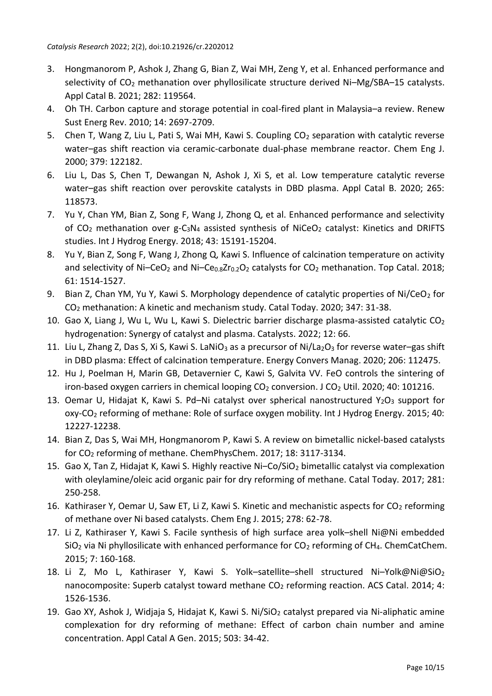- 3. Hongmanorom P, Ashok J, Zhang G, Bian Z, Wai MH, Zeng Y, et al. Enhanced performance and selectivity of  $CO<sub>2</sub>$  methanation over phyllosilicate structure derived Ni–Mg/SBA–15 catalysts. Appl Catal B. 2021; 282: 119564.
- 4. Oh TH. Carbon capture and storage potential in coal-fired plant in Malaysia–a review. Renew Sust Energ Rev. 2010; 14: 2697-2709.
- 5. Chen T, Wang Z, Liu L, Pati S, Wai MH, Kawi S. Coupling CO<sub>2</sub> separation with catalytic reverse water–gas shift reaction via ceramic-carbonate dual-phase membrane reactor. Chem Eng J. 2000; 379: 122182.
- 6. Liu L, Das S, Chen T, Dewangan N, Ashok J, Xi S, et al. Low temperature catalytic reverse water–gas shift reaction over perovskite catalysts in DBD plasma. Appl Catal B. 2020; 265: 118573.
- 7. Yu Y, Chan YM, Bian Z, Song F, Wang J, Zhong Q, et al. Enhanced performance and selectivity of  $CO<sub>2</sub>$  methanation over  $g-C<sub>3</sub>N<sub>4</sub>$  assisted synthesis of NiCeO<sub>2</sub> catalyst: Kinetics and DRIFTS studies. Int J Hydrog Energy. 2018; 43: 15191-15204.
- 8. Yu Y, Bian Z, Song F, Wang J, Zhong Q, Kawi S. Influence of calcination temperature on activity and selectivity of Ni–CeO<sub>2</sub> and Ni–Ce<sub>0.8</sub>Zr<sub>0.2</sub>O<sub>2</sub> catalysts for CO<sub>2</sub> methanation. Top Catal. 2018; 61: 1514-1527.
- 9. Bian Z, Chan YM, Yu Y, Kawi S. Morphology dependence of catalytic properties of Ni/CeO<sub>2</sub> for CO<sup>2</sup> methanation: A kinetic and mechanism study. Catal Today. 2020; 347: 31-38.
- 10. Gao X, Liang J, Wu L, Wu L, Kawi S. Dielectric barrier discharge plasma-assisted catalytic CO<sup>2</sup> hydrogenation: Synergy of catalyst and plasma. Catalysts. 2022; 12: 66.
- 11. Liu L, Zhang Z, Das S, Xi S, Kawi S. LaNiO<sub>3</sub> as a precursor of Ni/La<sub>2</sub>O<sub>3</sub> for reverse water–gas shift in DBD plasma: Effect of calcination temperature. Energy Convers Manag. 2020; 206: 112475.
- 12. Hu J, Poelman H, Marin GB, Detavernier C, Kawi S, Galvita VV. FeO controls the sintering of iron-based oxygen carriers in chemical looping  $CO<sub>2</sub>$  conversion. J  $CO<sub>2</sub>$  Util. 2020; 40: 101216.
- 13. Oemar U, Hidajat K, Kawi S. Pd–Ni catalyst over spherical nanostructured  $Y_2O_3$  support for oxy-CO<sup>2</sup> reforming of methane: Role of surface oxygen mobility. Int J Hydrog Energy. 2015; 40: 12227-12238.
- 14. Bian Z, Das S, Wai MH, Hongmanorom P, Kawi S. A review on bimetallic nickel-based catalysts for CO<sup>2</sup> reforming of methane. ChemPhysChem. 2017; 18: 3117-3134.
- 15. Gao X, Tan Z, Hidajat K, Kawi S. Highly reactive Ni-Co/SiO<sub>2</sub> bimetallic catalyst via complexation with oleylamine/oleic acid organic pair for dry reforming of methane. Catal Today. 2017; 281: 250-258.
- 16. Kathiraser Y, Oemar U, Saw ET, Li Z, Kawi S. Kinetic and mechanistic aspects for  $CO<sub>2</sub>$  reforming of methane over Ni based catalysts. Chem Eng J. 2015; 278: 62-78.
- 17. Li Z, Kathiraser Y, Kawi S. Facile synthesis of high surface area yolk–shell Ni@Ni embedded  $SiO<sub>2</sub>$  via Ni phyllosilicate with enhanced performance for  $CO<sub>2</sub>$  reforming of CH<sub>4</sub>. ChemCatChem. 2015; 7: 160-168.
- 18. Li Z, Mo L, Kathiraser Y, Kawi S. Yolk–satellite–shell structured Ni–Yolk@Ni@SiO<sub>2</sub> nanocomposite: Superb catalyst toward methane CO<sub>2</sub> reforming reaction. ACS Catal. 2014; 4: 1526-1536.
- 19. Gao XY, Ashok J, Widjaja S, Hidajat K, Kawi S. Ni/SiO<sub>2</sub> catalyst prepared via Ni-aliphatic amine complexation for dry reforming of methane: Effect of carbon chain number and amine concentration. Appl Catal A Gen. 2015; 503: 34-42.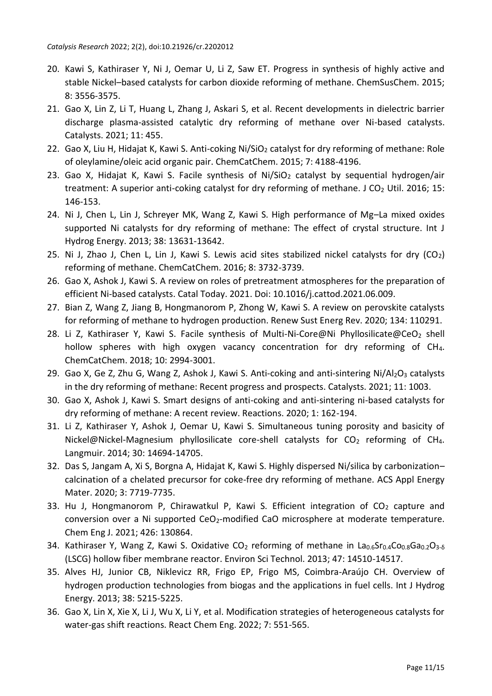- 20. Kawi S, Kathiraser Y, Ni J, Oemar U, Li Z, Saw ET. Progress in synthesis of highly active and stable Nickel–based catalysts for carbon dioxide reforming of methane. ChemSusChem. 2015; 8: 3556-3575.
- 21. Gao X, Lin Z, Li T, Huang L, Zhang J, Askari S, et al. Recent developments in dielectric barrier discharge plasma-assisted catalytic dry reforming of methane over Ni-based catalysts. Catalysts. 2021; 11: 455.
- 22. Gao X, Liu H, Hidajat K, Kawi S. Anti-coking Ni/SiO<sub>2</sub> catalyst for dry reforming of methane: Role of oleylamine/oleic acid organic pair. ChemCatChem. 2015; 7: 4188-4196.
- 23. Gao X, Hidajat K, Kawi S. Facile synthesis of Ni/SiO<sub>2</sub> catalyst by sequential hydrogen/air treatment: A superior anti-coking catalyst for dry reforming of methane. J  $CO<sub>2</sub>$  Util. 2016; 15: 146-153.
- 24. Ni J, Chen L, Lin J, Schreyer MK, Wang Z, Kawi S. High performance of Mg–La mixed oxides supported Ni catalysts for dry reforming of methane: The effect of crystal structure. Int J Hydrog Energy. 2013; 38: 13631-13642.
- 25. Ni J, Zhao J, Chen L, Lin J, Kawi S. Lewis acid sites stabilized nickel catalysts for dry  $(CO_2)$ reforming of methane. ChemCatChem. 2016; 8: 3732-3739.
- 26. Gao X, Ashok J, Kawi S. A review on roles of pretreatment atmospheres for the preparation of efficient Ni-based catalysts. Catal Today. 2021. Doi: 10.1016/j.cattod.2021.06.009.
- 27. Bian Z, Wang Z, Jiang B, Hongmanorom P, Zhong W, Kawi S. A review on perovskite catalysts for reforming of methane to hydrogen production. Renew Sust Energ Rev. 2020; 134: 110291.
- 28. Li Z, Kathiraser Y, Kawi S. Facile synthesis of Multi-Ni-Core@Ni Phyllosilicate@CeO<sub>2</sub> shell hollow spheres with high oxygen vacancy concentration for dry reforming of CH<sub>4</sub>. ChemCatChem. 2018; 10: 2994-3001.
- 29. Gao X, Ge Z, Zhu G, Wang Z, Ashok J, Kawi S. Anti-coking and anti-sintering Ni/Al2O3 catalysts in the dry reforming of methane: Recent progress and prospects. Catalysts. 2021; 11: 1003.
- 30. Gao X, Ashok J, Kawi S. Smart designs of anti-coking and anti-sintering ni-based catalysts for dry reforming of methane: A recent review. Reactions. 2020; 1: 162-194.
- 31. Li Z, Kathiraser Y, Ashok J, Oemar U, Kawi S. Simultaneous tuning porosity and basicity of Nickel@Nickel-Magnesium phyllosilicate core-shell catalysts for CO<sub>2</sub> reforming of CH<sub>4</sub>. Langmuir. 2014; 30: 14694-14705.
- 32. Das S, Jangam A, Xi S, Borgna A, Hidajat K, Kawi S. Highly dispersed Ni/silica by carbonization– calcination of a chelated precursor for coke-free dry reforming of methane. ACS Appl Energy Mater. 2020; 3: 7719-7735.
- 33. Hu J, Hongmanorom P, Chirawatkul P, Kawi S. Efficient integration of  $CO<sub>2</sub>$  capture and conversion over a Ni supported CeO<sub>2</sub>-modified CaO microsphere at moderate temperature. Chem Eng J. 2021; 426: 130864.
- 34. Kathiraser Y, Wang Z, Kawi S. Oxidative CO<sub>2</sub> reforming of methane in La<sub>0.6</sub>Sr<sub>0.4</sub>Co<sub>0.8</sub>Ga<sub>0.2</sub>O<sub>3-6</sub> (LSCG) hollow fiber membrane reactor. Environ Sci Technol. 2013; 47: 14510-14517.
- 35. Alves HJ, Junior CB, Niklevicz RR, Frigo EP, Frigo MS, Coimbra-Araújo CH. Overview of hydrogen production technologies from biogas and the applications in fuel cells. Int J Hydrog Energy. 2013; 38: 5215-5225.
- 36. Gao X, Lin X, Xie X, Li J, Wu X, Li Y, et al. Modification strategies of heterogeneous catalysts for water-gas shift reactions. React Chem Eng. 2022; 7: 551-565.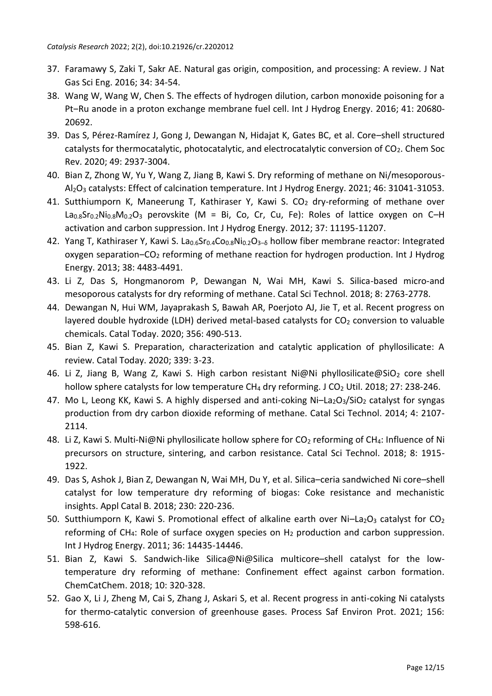- 37. Faramawy S, Zaki T, Sakr AE. Natural gas origin, composition, and processing: A review. J Nat Gas Sci Eng. 2016; 34: 34-54.
- 38. Wang W, Wang W, Chen S. The effects of hydrogen dilution, carbon monoxide poisoning for a Pt-Ru anode in a proton exchange membrane fuel cell. Int J Hydrog Energy. 2016; 41: 20680-20692.
- 39. Das S, Pérez-Ramírez J, Gong J, Dewangan N, Hidajat K, Gates BC, et al. Core–shell structured catalysts for thermocatalytic, photocatalytic, and electrocatalytic conversion of  $CO<sub>2</sub>$ . Chem Soc Rev. 2020; 49: 2937-3004.
- 40. Bian Z, Zhong W, Yu Y, Wang Z, Jiang B, Kawi S. Dry reforming of methane on Ni/mesoporous-Al2O<sup>3</sup> catalysts: Effect of calcination temperature. Int J Hydrog Energy. 2021; 46: 31041-31053.
- 41. Sutthiumporn K, Maneerung T, Kathiraser Y, Kawi S. CO<sub>2</sub> dry-reforming of methane over  $La<sub>0.8</sub>Sr<sub>0.2</sub>Ni<sub>0.8</sub>M<sub>0.2</sub>O<sub>3</sub>$  perovskite (M = Bi, Co, Cr, Cu, Fe): Roles of lattice oxygen on C–H activation and carbon suppression. Int J Hydrog Energy. 2012; 37: 11195-11207.
- 42. Yang T, Kathiraser Y, Kawi S. La<sub>0.6</sub>Sr<sub>0.4</sub>Co<sub>0.8</sub>Ni<sub>0.2</sub>O<sub>3-6</sub> hollow fiber membrane reactor: Integrated oxygen separation‒CO<sup>2</sup> reforming of methane reaction for hydrogen production. Int J Hydrog Energy. 2013; 38: 4483-4491.
- 43. Li Z, Das S, Hongmanorom P, Dewangan N, Wai MH, Kawi S. Silica-based micro-and mesoporous catalysts for dry reforming of methane. Catal Sci Technol. 2018; 8: 2763-2778.
- 44. Dewangan N, Hui WM, Jayaprakash S, Bawah AR, Poerjoto AJ, Jie T, et al. Recent progress on layered double hydroxide (LDH) derived metal-based catalysts for  $CO<sub>2</sub>$  conversion to valuable chemicals. Catal Today. 2020; 356: 490-513.
- 45. Bian Z, Kawi S. Preparation, characterization and catalytic application of phyllosilicate: A review. Catal Today. 2020; 339: 3-23.
- 46. Li Z, Jiang B, Wang Z, Kawi S. High carbon resistant Ni@Ni phyllosilicate@SiO<sub>2</sub> core shell hollow sphere catalysts for low temperature CH<sub>4</sub> dry reforming. J CO<sub>2</sub> Util. 2018; 27: 238-246.
- 47. Mo L, Leong KK, Kawi S. A highly dispersed and anti-coking  $Ni La<sub>2</sub>O<sub>3</sub>/SiO<sub>2</sub>$  catalyst for syngas production from dry carbon dioxide reforming of methane. Catal Sci Technol. 2014; 4: 2107- 2114.
- 48. Li Z, Kawi S. Multi-Ni@Ni phyllosilicate hollow sphere for CO<sub>2</sub> reforming of CH<sub>4</sub>: Influence of Ni precursors on structure, sintering, and carbon resistance. Catal Sci Technol. 2018; 8: 1915- 1922.
- 49. Das S, Ashok J, Bian Z, Dewangan N, Wai MH, Du Y, et al. Silica–ceria sandwiched Ni core–shell catalyst for low temperature dry reforming of biogas: Coke resistance and mechanistic insights. Appl Catal B. 2018; 230: 220-236.
- 50. Sutthiumporn K, Kawi S. Promotional effect of alkaline earth over Ni-La<sub>2</sub>O<sub>3</sub> catalyst for CO<sub>2</sub> reforming of CH<sub>4</sub>: Role of surface oxygen species on  $H_2$  production and carbon suppression. Int J Hydrog Energy. 2011; 36: 14435-14446.
- 51. Bian Z, Kawi S. Sandwich-like Silica@Ni@Silica multicore–shell catalyst for the lowtemperature dry reforming of methane: Confinement effect against carbon formation. ChemCatChem. 2018; 10: 320-328.
- 52. Gao X, Li J, Zheng M, Cai S, Zhang J, Askari S, et al. Recent progress in anti-coking Ni catalysts for thermo-catalytic conversion of greenhouse gases. Process Saf Environ Prot. 2021; 156: 598-616.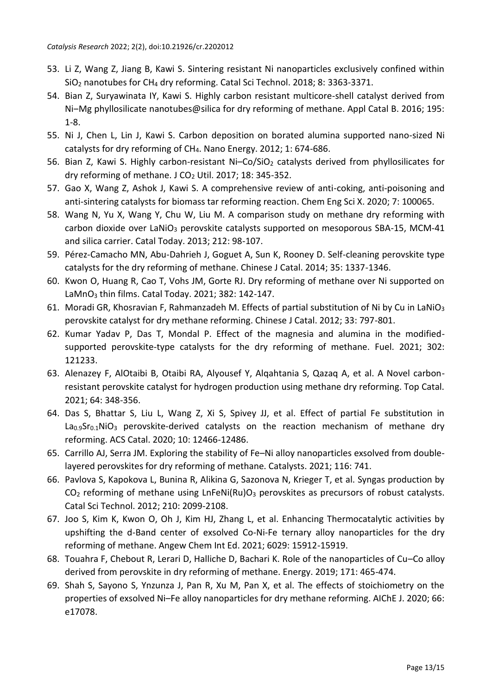- 53. Li Z, Wang Z, Jiang B, Kawi S. Sintering resistant Ni nanoparticles exclusively confined within SiO<sup>2</sup> nanotubes for CH<sup>4</sup> dry reforming. Catal Sci Technol. 2018; 8: 3363-3371.
- 54. Bian Z, Suryawinata IY, Kawi S. Highly carbon resistant multicore-shell catalyst derived from Ni-Mg phyllosilicate nanotubes@silica for dry reforming of methane. Appl Catal B. 2016; 195: 1-8.
- 55. Ni J, Chen L, Lin J, Kawi S. Carbon deposition on borated alumina supported nano-sized Ni catalysts for dry reforming of CH4. Nano Energy. 2012; 1: 674-686.
- 56. Bian Z, Kawi S. Highly carbon-resistant Ni-Co/SiO<sub>2</sub> catalysts derived from phyllosilicates for dry reforming of methane. J CO<sup>2</sup> Util. 2017; 18: 345-352.
- 57. Gao X, Wang Z, Ashok J, Kawi S. A comprehensive review of anti-coking, anti-poisoning and anti-sintering catalysts for biomass tar reforming reaction. Chem Eng Sci X. 2020; 7: 100065.
- 58. Wang N, Yu X, Wang Y, Chu W, Liu M. A comparison study on methane dry reforming with carbon dioxide over LaNiO<sub>3</sub> perovskite catalysts supported on mesoporous SBA-15, MCM-41 and silica carrier. Catal Today. 2013; 212: 98-107.
- 59. Pérez-Camacho MN, Abu-Dahrieh J, Goguet A, Sun K, Rooney D. Self-cleaning perovskite type catalysts for the dry reforming of methane. Chinese J Catal. 2014; 35: 1337-1346.
- 60. Kwon O, Huang R, Cao T, Vohs JM, Gorte RJ. Dry reforming of methane over Ni supported on LaMnO<sup>3</sup> thin films. Catal Today. 2021; 382: 142-147.
- 61. Moradi GR, Khosravian F, Rahmanzadeh M. Effects of partial substitution of Ni by Cu in LaNiO<sub>3</sub> perovskite catalyst for dry methane reforming. Chinese J Catal. 2012; 33: 797-801.
- 62. Kumar Yadav P, Das T, Mondal P. Effect of the magnesia and alumina in the modifiedsupported perovskite-type catalysts for the dry reforming of methane. Fuel. 2021; 302: 121233.
- 63. Alenazey F, AlOtaibi B, Otaibi RA, Alyousef Y, Alqahtania S, Qazaq A, et al. A Novel carbonresistant perovskite catalyst for hydrogen production using methane dry reforming. Top Catal. 2021; 64: 348-356.
- 64. Das S, Bhattar S, Liu L, Wang Z, Xi S, Spivey JJ, et al. Effect of partial Fe substitution in La0.9Sr0.1NiO<sub>3</sub> perovskite-derived catalysts on the reaction mechanism of methane dry reforming. ACS Catal. 2020; 10: 12466-12486.
- 65. Carrillo AJ, Serra JM. Exploring the stability of Fe–Ni alloy nanoparticles exsolved from doublelayered perovskites for dry reforming of methane. Catalysts. 2021; 116: 741.
- 66. Pavlova S, Kapokova L, Bunina R, Alikina G, Sazonova N, Krieger T, et al. Syngas production by  $CO<sub>2</sub>$  reforming of methane using LnFeNi(Ru) $O<sub>3</sub>$  perovskites as precursors of robust catalysts. Catal Sci Technol. 2012; 210: 2099-2108.
- 67. Joo S, Kim K, Kwon O, Oh J, Kim HJ, Zhang L, et al. Enhancing Thermocatalytic activities by upshifting the d-Band center of exsolved Co-Ni-Fe ternary alloy nanoparticles for the dry reforming of methane. Angew Chem Int Ed. 2021; 6029: 15912-15919.
- 68. Touahra F, Chebout R, Lerari D, Halliche D, Bachari K. Role of the nanoparticles of Cu–Co alloy derived from perovskite in dry reforming of methane. Energy. 2019; 171: 465-474.
- 69. Shah S, Sayono S, Ynzunza J, Pan R, Xu M, Pan X, et al. The effects of stoichiometry on the properties of exsolved Ni–Fe alloy nanoparticles for dry methane reforming. AIChE J. 2020; 66: e17078.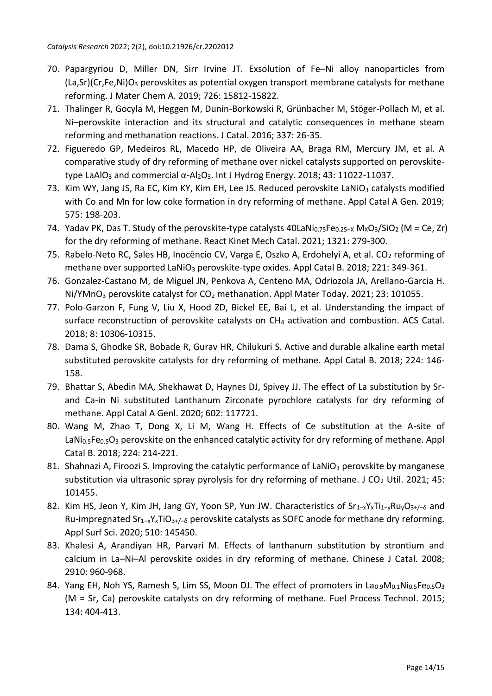- 70. Papargyriou D, Miller DN, Sirr Irvine JT. Exsolution of Fe–Ni alloy nanoparticles from  $(La, Sr)(Cr, Fe, Ni)O<sub>3</sub>$  perovskites as potential oxygen transport membrane catalysts for methane reforming. J Mater Chem A. 2019; 726: 15812-15822.
- 71. Thalinger R, Gocyla M, Heggen M, Dunin-Borkowski R, Grünbacher M, Stöger-Pollach M, et al. Ni–perovskite interaction and its structural and catalytic consequences in methane steam reforming and methanation reactions. J Catal. 2016; 337: 26-35.
- 72. Figueredo GP, Medeiros RL, Macedo HP, de Oliveira AA, Braga RM, Mercury JM, et al. A comparative study of dry reforming of methane over nickel catalysts supported on perovskitetype LaAlO<sub>3</sub> and commercial α-Al<sub>2</sub>O<sub>3</sub>. Int J Hydrog Energy. 2018; 43: 11022-11037.
- 73. Kim WY, Jang JS, Ra EC, Kim KY, Kim EH, Lee JS. Reduced perovskite LaNiO<sub>3</sub> catalysts modified with Co and Mn for low coke formation in dry reforming of methane. Appl Catal A Gen. 2019; 575: 198-203.
- 74. Yadav PK, Das T. Study of the perovskite-type catalysts 40LaNi<sub>0.75</sub>Fe<sub>0.25−X</sub> M<sub>X</sub>O<sub>3</sub>/SiO<sub>2</sub> (M = Ce, Zr) for the dry reforming of methane. React Kinet Mech Catal. 2021; 1321: 279-300.
- 75. Rabelo-Neto RC, Sales HB, Inocêncio CV, Varga E, Oszko A, Erdohelyi A, et al. CO<sub>2</sub> reforming of methane over supported LaNiO<sub>3</sub> perovskite-type oxides. Appl Catal B. 2018; 221: 349-361.
- 76. Gonzalez-Castano M, de Miguel JN, Penkova A, Centeno MA, Odriozola JA, Arellano-Garcia H.  $Ni/YMnO<sub>3</sub>$  perovskite catalyst for  $CO<sub>2</sub>$  methanation. Appl Mater Today. 2021; 23: 101055.
- 77. Polo-Garzon F, Fung V, Liu X, Hood ZD, Bickel EE, Bai L, et al. Understanding the impact of surface reconstruction of perovskite catalysts on CH<sup>4</sup> activation and combustion. ACS Catal. 2018; 8: 10306-10315.
- 78. Dama S, Ghodke SR, Bobade R, Gurav HR, Chilukuri S. Active and durable alkaline earth metal substituted perovskite catalysts for dry reforming of methane. Appl Catal B. 2018; 224: 146- 158.
- 79. Bhattar S, Abedin MA, Shekhawat D, Haynes DJ, Spivey JJ. The effect of La substitution by Srand Ca-in Ni substituted Lanthanum Zirconate pyrochlore catalysts for dry reforming of methane. Appl Catal A Genl. 2020; 602: 117721.
- 80. Wang M, Zhao T, Dong X, Li M, Wang H. Effects of Ce substitution at the A-site of LaNi<sub>0.5</sub>Fe<sub>0.5</sub>O<sub>3</sub> perovskite on the enhanced catalytic activity for dry reforming of methane. Appl Catal B. 2018; 224: 214-221.
- 81. Shahnazi A, Firoozi S. Improving the catalytic performance of LaNiO<sub>3</sub> perovskite by manganese substitution via ultrasonic spray pyrolysis for dry reforming of methane. J CO<sub>2</sub> Util. 2021; 45: 101455.
- 82. Kim HS, Jeon Y, Kim JH, Jang GY, Yoon SP, Yun JW. Characteristics of Sr<sub>1–x</sub>Y<sub>x</sub>Ti<sub>1-y</sub>Ru<sub>y</sub>O<sub>3+</sub>/-<sub>6</sub> and Ru-impregnated Sr<sub>1-x</sub>Y<sub>x</sub>TiO<sub>3+/-δ</sub> perovskite catalysts as SOFC anode for methane dry reforming. Appl Surf Sci. 2020; 510: 145450.
- 83. Khalesi A, Arandiyan HR, Parvari M. Effects of lanthanum substitution by strontium and calcium in La–Ni–Al perovskite oxides in dry reforming of methane. Chinese J Catal. 2008; 2910: 960-968.
- 84. Yang EH, Noh YS, Ramesh S, Lim SS, Moon DJ. The effect of promoters in La<sub>0.9</sub>M<sub>0.1</sub>Ni<sub>0.5</sub>Fe<sub>0.5</sub>O<sub>3</sub> (M = Sr, Ca) perovskite catalysts on dry reforming of methane. Fuel Process Technol. 2015; 134: 404-413.